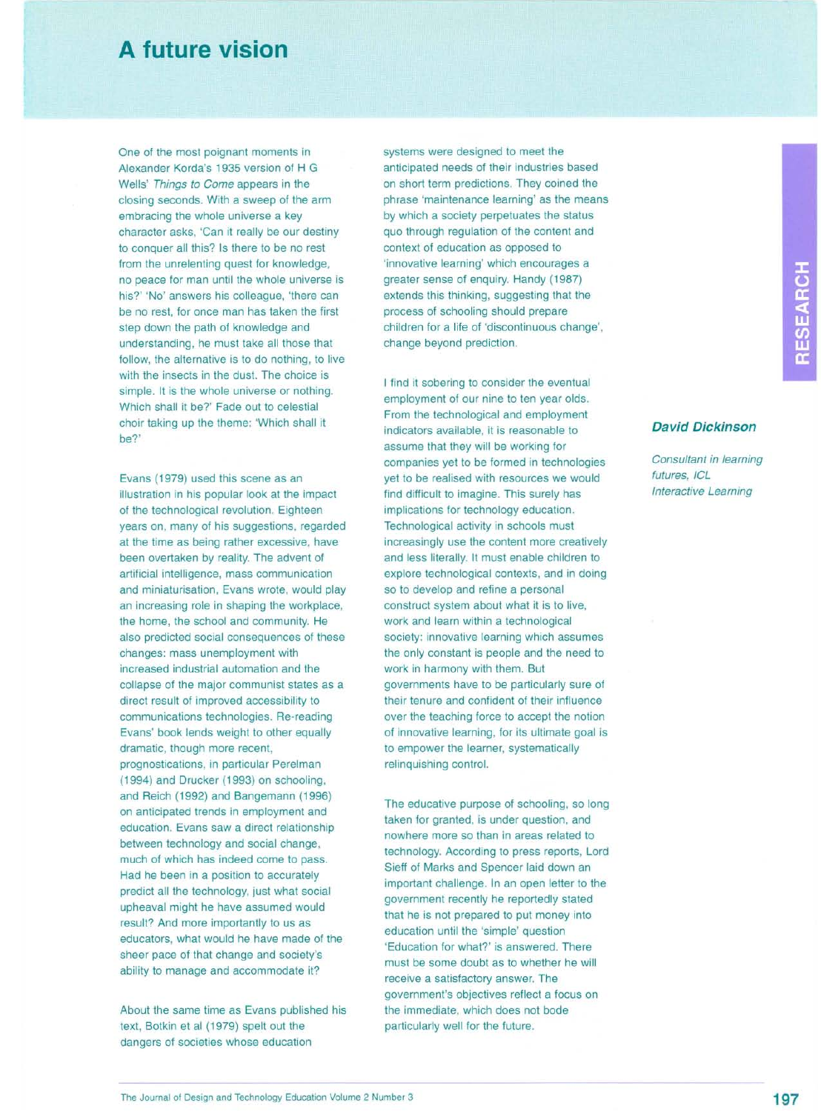## **A future vision**

One of the most poignant moments in Alexander Korda's 1935 version of H G Wells' *Things to Come* appears in the closing seconds. With a sweep of the arm embracing the whole universe a key character asks, 'Can it really be our destiny to conquer all this? Is there to be no rest from the unrelenting quest for knowledge, no peace for man until the whole universe is his?' 'No' answers his colleague, 'there can be no rest, for once man has taken the first step down the path of knowledge and understanding, he must take all those that follow, the alternative is to do nothing, to live with the insects in the dust. The choice is simple. It is the whole universe or nothing. Which shall it be?' Fade out to celestial choir taking up the theme: 'Which shall it be?'

Evans (1979) used this scene as an illustration in his popular look at the impact of the technological revolution. Eighteen years on, many of his suggestions, regarded at the time as being rather excessive, have been overtaken by reality. The advent of artificial intelligence, mass communication and miniaturisation, Evans wrote, would play an increasing role in shaping the workplace, the home, the school and community. He also predicted social consequences of these changes: mass unemployment with increased industrial automation and the collapse of the major communist states as a direct result of improved accessibility to communications technologies. Re-reading Evans' book lends weight to other equally dramatic, though more recent, prognostications, in particular Perelman (1994) and Drucker (1993) on schooling, and Reich (1992) and Bangemann (1996) on anticipated trends in employment and education. Evans saw a direct relationship between technology and social change, much of which has indeed come to pass. Had he been in a position to accurately predict all the technology, just what social upheaval might he have assumed would result? And more importantly to us as educators, what would he have made of the sheer pace of that change and society's ability to manage and accommodate it?

About the same time as Evans published his text, Botkin et al (1979) spelt out the dangers of societies whose education

systems were designed to meet the anticipated needs of their industries based on short term predictions. They coined the phrase 'maintenance learning' as the means by which a society perpetuates the status quo through regulation of the content and context of education as opposed to 'innovative learning' which encourages a greater sense of enquiry. Handy (1987) extends this thinking, suggesting that the process of schooling should prepare children for a life of 'discontinuous change', change beyond prediction.

I find it sobering to consider the eventual employment of our nine to ten year olds. From the technological and employment indicators available, it is reasonable to assume that they will be working for companies yet to be formed in technologies yet to be realised with resources we would find difficult to imagine. This surely has implications for technology education. Technological activity in schools must increasingly use the content more creatively and less literally. It must enable children to explore technological contexts, and in doing so to develop and refine a personal construct system about what it is to live, work and learn within a technological society: innovative learning which assumes the only constant is people and the need to work in harmony with them. But governments have to be particularly sure of their tenure and confident of their influence over the teaching force to accept the notion of innovative learning, for its ultimate goal is to empower the learner, systematically relinquishing control.

The educative purpose of schooling, so long taken for granted, is under question, and nowhere more so than in areas related to technology. According to press reports, Lord Sieff of Marks and Spencer laid down an important challenge. In an open letter to the government recently he reportedly stated that he is not prepared to put money into education until the 'simple' question 'Education for what?' is answered. There must be some doubt as to whether he will receive a satisfactory answer. The government's objectives reflect a focus on the immediate, which does not bode particularly well for the future.

**David Dickinson** 

*Consultant in learning futures, ICL Interactive Learning*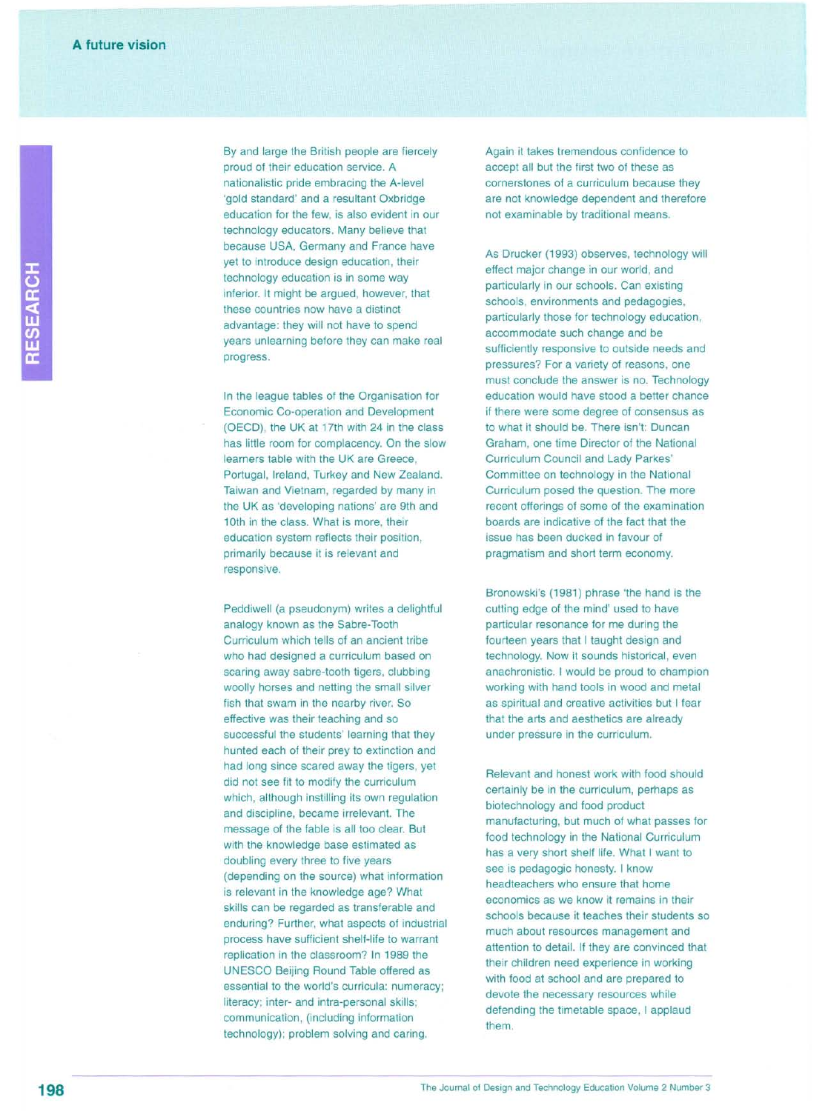By and large the British people are fiercely proud of their education service. A nationalistic pride embracing the A-level 'gold standard' and a resultant Oxbridge education for the few, is also evident in our technology educators. Many believe that because USA, Germany and France have yet to introduce design education, their technology education is in some way inferior. It might be argued, however, that these countries now have a distinct advantage: they will not have to spend years unlearning before they can make real progress.

In the league tables of the Organisation for Economic Co-operation and Development (OECD), the UK at 17th with 24 in the class has little room for complacency. On the slow learners table with the UK are Greece, Portugal, Ireland, Turkey and New Zealand. Taiwan and Vietnam, regarded by many in the UK as 'developing nations' are 9th and 10th in the class. What is more, their education system reflects their position, primarily because it is relevant and responsive.

Peddiwell (a pseudonym) writes a delightful analogy known as the Sabre-Tooth Curriculum which tells of an ancient tribe who had designed a curriculum based on scaring away sabre-tooth tigers, clubbing woolly horses and netting the small silver fish that swam in the nearby river. So effective was their teaching and so successful the students' learning that they hunted each of their prey to extinction and had long since scared away the tigers, yet did not see fit to modify the curriculum which, although instilling its own regulation and discipline, became irrelevant. The message of the fable is all too clear. But with the knowledge base estimated as doubling every three to five years (depending on the source) what information is relevant in the knowledge age? What skills can be regarded as transferable and enduring? Further, what aspects of industrial process have sufficient shelf-life to warrant replication in the classroom? In 1989 the UNESCO Beijing Round Table offered as essential to the world's curricula: numeracy; literacy; inter- and intra-personal skills; communication, (including information technology); problem solving and caring.

Again it takes tremendous confidence to accept all but the first two of these as cornerstones of a curriculum because they are not knowledge dependent and therefore not examinable by traditional means.

As Drucker (1993) observes, technology will effect major change in our world, and particularly in our schools. Can existing schools, environments and pedagogies, particularly those for technology education, accommodate such change and be sufficiently responsive to outside needs and pressures? For a variety of reasons, one must conclude the answer is no. Technology education would have stood a better chance if there were some degree of consensus as to what it should be. There isn't: Duncan Graham, one time Director of the National Curriculum Council and Lady Parkes' Committee on technology in the National Curriculum posed the question. The more recent offerings of some of the examination boards are indicative of the fact that the issue has been ducked in favour of pragmatism and short term economy.

Bronowski's (1981) phrase 'the hand is the cutting edge of the mind' used to have particular resonance for me during the fourteen years that I taught design and technology. Now it sounds historical, even anachronistic. I would be proud to champion working with hand tools in wood and metal as spiritual and creative activities but I fear that the arts and aesthetics are already under pressure in the curriculum.

Relevant and honest work with food should certainly be in the curriculum, perhaps as biotechnology and food product manufacturing, but much of what passes for food technology in the National Curriculum has a very short shelf life. What I want to see is pedagogic honesty. I know headteachers who ensure that home economics as we know it remains in their schools because it teaches their students so much about resources management and attention to detail. If they are convinced that their children need experience in working with food at school and are prepared to devote the necessary resources while defending the timetable space, I applaud them.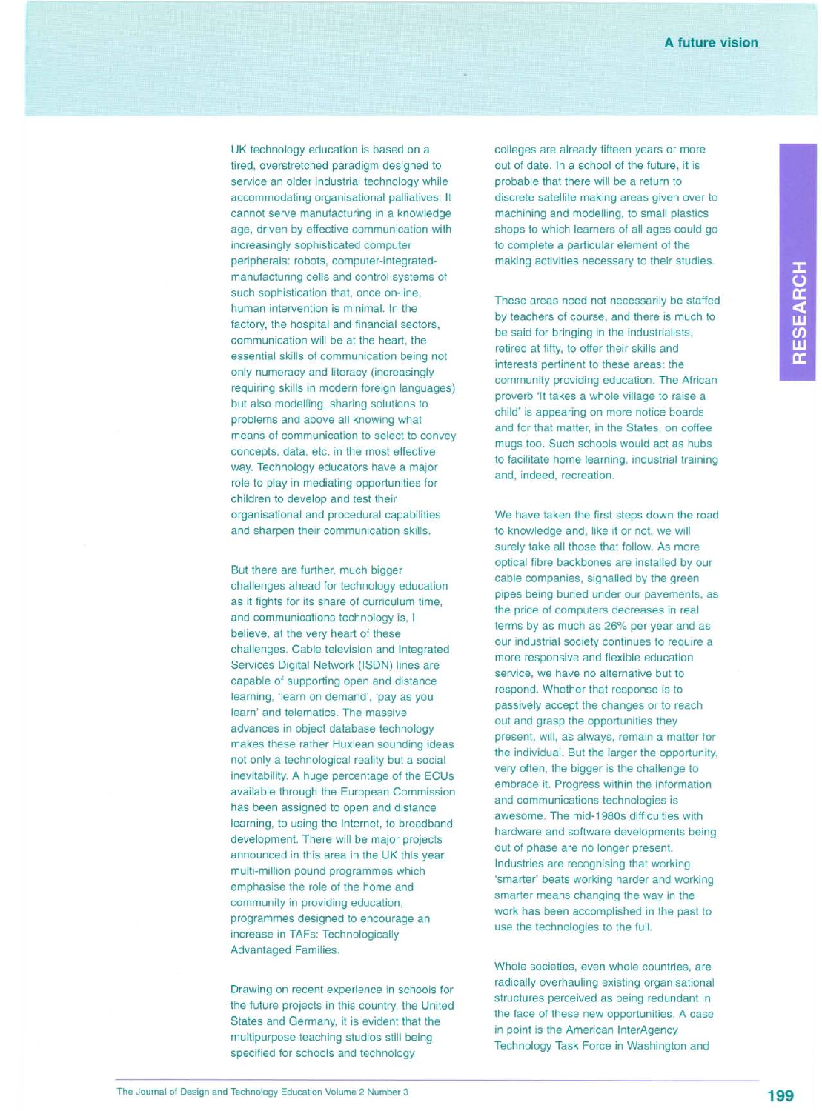UK technology education is based on a tired, overstretched paradigm designed to service an older industrial technology while accommodating organisational palliatives. It cannot serve manufacturing in a knowledge age, driven by effective communication with increasingly sophisticated computer peripherals: robots, computer-integratedmanufacturing cells and control systems of such sophistication that, once on-line, human intervention is minimal. In the factory, the hospital and financial sectors, communication will be at the heart, the essential skills of communication being not only numeracy and literacy (increasingly requiring skills in modern foreign languages) but also modelling, sharing solutions to problems and above all knowing what means of communication to select to convey concepts, data, etc. in the most effective way. Technology educators have a major role to play in mediating opportunities for children to develop and test their organisational and procedural capabilities and sharpen their communication skills.

But there are further, much bigger challenges ahead for technology education as it fights for its share of curriculum time, and communications technology is, I believe, at the very heart of these challenges. Cable television and Integrated Services Digital Network (ISDN) lines are capable of supporting open and distance learning, 'learn on demand', 'pay as you learn' and telematics. The massive advances in object database technology makes these rather Huxlean sounding ideas not only a technological reality but a social inevitability. A huge percentage of the ECUs available through the European Commission has been assigned to open and distance learning, to using the Internet, to broadband development. There will be major projects announced in this area in the UK this year, multi-million pound programmes which emphasise the role of the home and community in providing education, programmes designed to encourage an increase in TAFs: Technologically Advantaged Families.

Drawing on recent experience in schools for the future projects in this country, the United States and Germany, it is evident that the multipurpose teaching studios still being specified for schools and technology

colleges are already fifteen years or more out of date. In a school of the future, it is probable that there will be a return to discrete satellite making areas given over to machining and modelling, to small plastics shops to which learners of all ages could go to complete a particular element of the making activities necessary to their studies.

These areas need not necessarily be staffed by teachers of course, and there is much to be said for bringing in the industrialists, retired at fifty, to offer their skills and interests pertinent to these areas: the community providing education. The African proverb 'It takes a whole village to raise a child' is appearing on more notice boards and for that matter, in the States, on coffee mugs too. Such schools would act as hubs to facilitate home learning, industrial training and, indeed, recreation.

We have taken the first steps down the road to knowledge and, like it or not, we will surely take all those that follow. As more optical fibre backbones are installed by our cable companies, signalled by the green pipes being buried under our pavements, as the price of computers decreases in real terms by as much as 26% per year and as our industrial society continues to require a more responsive and flexible education service, we have no alternative but to respond. Whether that response is to passively accept the changes or to reach out and grasp the opportunities they present, will, as always, remain a matter for the individual. But the larger the opportunity, very often, the bigger is the challenge to embrace it. Progress within the information and communications technologies is awesome. The mid-1980s difficulties with hardware and software developments being out of phase are no longer present. Industries are recognising that working 'smarter' beats working harder and working smarter means changing the way in the work has been accomplished in the past to use the technologies to the full.

Whole societies, even whole countries, are radically overhauling existing organisational structures perceived as being redundant in the face of these new opportunities. A case in point is the American InterAgency Technology Task Force in Washington and